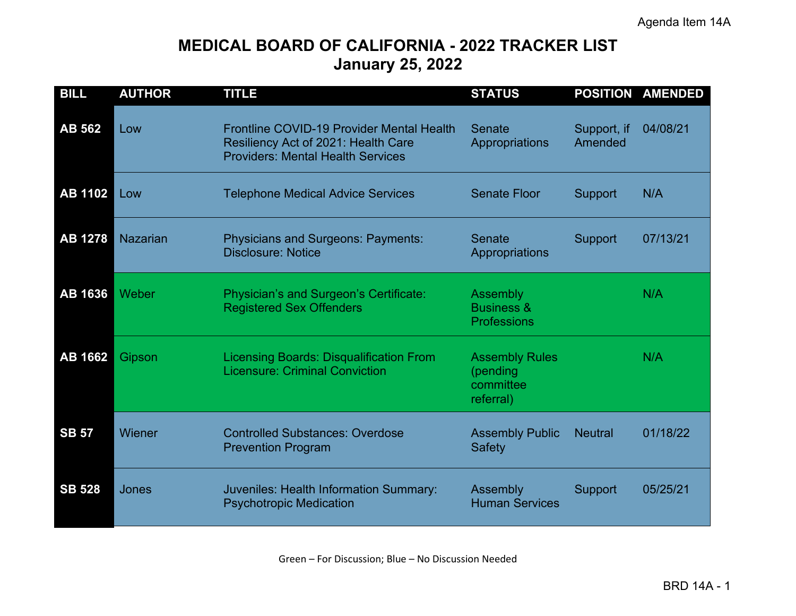# **MEDICAL BOARD OF CALIFORNIA - 2022 TRACKER LIST January 25, 2022**

| <b>BILL</b>    | <b>AUTHOR</b>   | <b>TITLE</b>                                                                                                                 | <b>STATUS</b>                                               | <b>POSITION</b>        | <b>AMENDED</b> |
|----------------|-----------------|------------------------------------------------------------------------------------------------------------------------------|-------------------------------------------------------------|------------------------|----------------|
| <b>AB 562</b>  | Low             | Frontline COVID-19 Provider Mental Health<br>Resiliency Act of 2021: Health Care<br><b>Providers: Mental Health Services</b> | <b>Senate</b><br>Appropriations                             | Support, if<br>Amended | 04/08/21       |
| <b>AB 1102</b> | Low             | <b>Telephone Medical Advice Services</b>                                                                                     | <b>Senate Floor</b>                                         | <b>Support</b>         | N/A            |
| <b>AB 1278</b> | <b>Nazarian</b> | Physicians and Surgeons: Payments:<br><b>Disclosure: Notice</b>                                                              | <b>Senate</b><br>Appropriations                             | <b>Support</b>         | 07/13/21       |
| <b>AB 1636</b> | Weber           | Physician's and Surgeon's Certificate:<br><b>Registered Sex Offenders</b>                                                    | Assembly<br><b>Business &amp;</b><br><b>Professions</b>     |                        | N/A            |
| <b>AB 1662</b> | Gipson          | <b>Licensing Boards: Disqualification From</b><br><b>Licensure: Criminal Conviction</b>                                      | <b>Assembly Rules</b><br>(pending<br>committee<br>referral) |                        | N/A            |
| <b>SB 57</b>   | Wiener          | <b>Controlled Substances: Overdose</b><br><b>Prevention Program</b>                                                          | <b>Assembly Public</b><br><b>Safety</b>                     | <b>Neutral</b>         | 01/18/22       |
| <b>SB 528</b>  | Jones           | Juveniles: Health Information Summary:<br><b>Psychotropic Medication</b>                                                     | Assembly<br><b>Human Services</b>                           | <b>Support</b>         | 05/25/21       |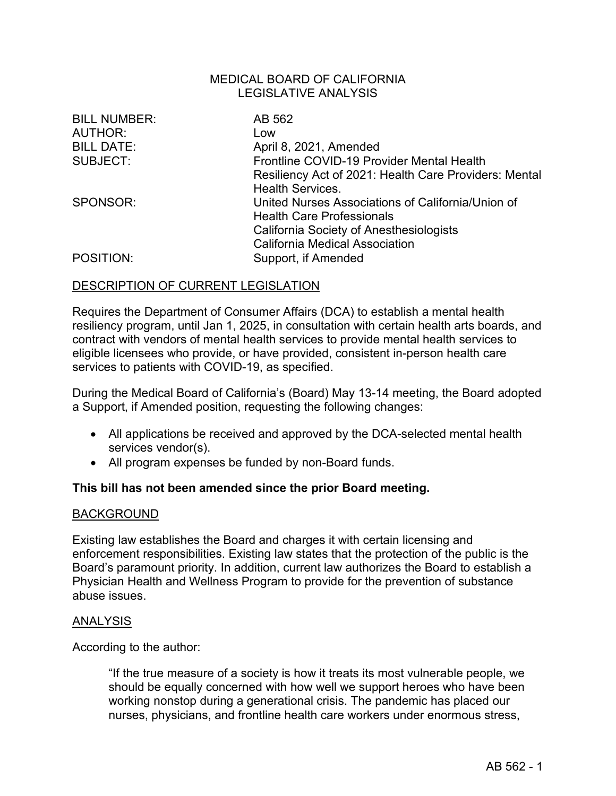| <b>BILL NUMBER:</b> | AB 562                                                |
|---------------------|-------------------------------------------------------|
| AUTHOR:             | Low                                                   |
| <b>BILL DATE:</b>   | April 8, 2021, Amended                                |
| SUBJECT:            | Frontline COVID-19 Provider Mental Health             |
|                     | Resiliency Act of 2021: Health Care Providers: Mental |
|                     | <b>Health Services.</b>                               |
| SPONSOR:            | United Nurses Associations of California/Union of     |
|                     | <b>Health Care Professionals</b>                      |
|                     | <b>California Society of Anesthesiologists</b>        |
|                     | <b>California Medical Association</b>                 |
| POSITION:           | Support, if Amended                                   |

## DESCRIPTION OF CURRENT LEGISLATION

Requires the Department of Consumer Affairs (DCA) to establish a mental health resiliency program, until Jan 1, 2025, in consultation with certain health arts boards, and contract with vendors of mental health services to provide mental health services to eligible licensees who provide, or have provided, consistent in-person health care services to patients with COVID-19, as specified.

During the Medical Board of California's (Board) May 13-14 meeting, the Board adopted a Support, if Amended position, requesting the following changes:

- All applications be received and approved by the DCA-selected mental health services vendor(s).
- All program expenses be funded by non-Board funds.

#### **This bill has not been amended since the prior Board meeting.**

#### **BACKGROUND**

Existing law establishes the Board and charges it with certain licensing and enforcement responsibilities. Existing law states that the protection of the public is the Board's paramount priority. In addition, current law authorizes the Board to establish a Physician Health and Wellness Program to provide for the prevention of substance abuse issues.

#### ANALYSIS

According to the author:

"If the true measure of a society is how it treats its most vulnerable people, we should be equally concerned with how well we support heroes who have been working nonstop during a generational crisis. The pandemic has placed our nurses, physicians, and frontline health care workers under enormous stress,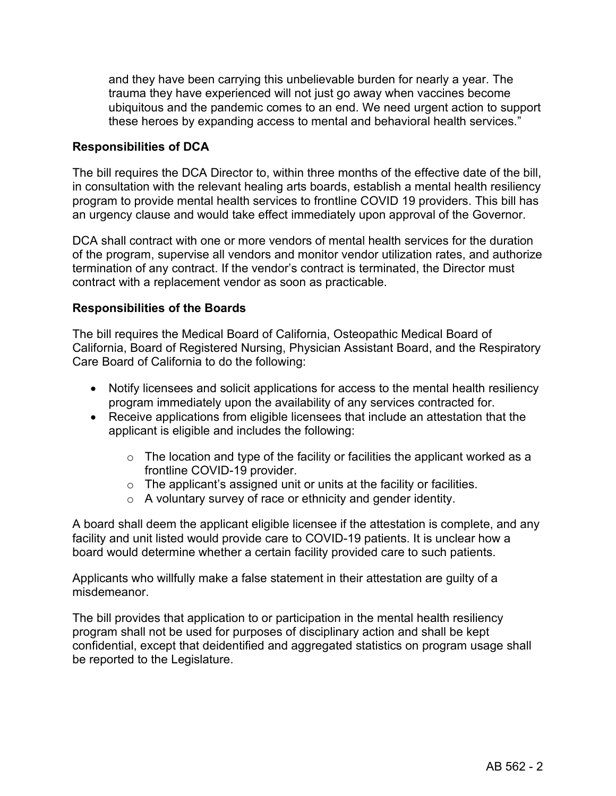and they have been carrying this unbelievable burden for nearly a year. The trauma they have experienced will not just go away when vaccines become ubiquitous and the pandemic comes to an end. We need urgent action to support these heroes by expanding access to mental and behavioral health services."

## **Responsibilities of DCA**

The bill requires the DCA Director to, within three months of the effective date of the bill, in consultation with the relevant healing arts boards, establish a mental health resiliency program to provide mental health services to frontline COVID 19 providers. This bill has an urgency clause and would take effect immediately upon approval of the Governor.

DCA shall contract with one or more vendors of mental health services for the duration of the program, supervise all vendors and monitor vendor utilization rates, and authorize termination of any contract. If the vendor's contract is terminated, the Director must contract with a replacement vendor as soon as practicable.

## **Responsibilities of the Boards**

The bill requires the Medical Board of California, Osteopathic Medical Board of California, Board of Registered Nursing, Physician Assistant Board, and the Respiratory Care Board of California to do the following:

- Notify licensees and solicit applications for access to the mental health resiliency program immediately upon the availability of any services contracted for.
- Receive applications from eligible licensees that include an attestation that the applicant is eligible and includes the following:
	- $\circ$  The location and type of the facility or facilities the applicant worked as a frontline COVID-19 provider.
	- $\circ$  The applicant's assigned unit or units at the facility or facilities.
	- o A voluntary survey of race or ethnicity and gender identity.

A board shall deem the applicant eligible licensee if the attestation is complete, and any facility and unit listed would provide care to COVID-19 patients. It is unclear how a board would determine whether a certain facility provided care to such patients.

Applicants who willfully make a false statement in their attestation are guilty of a misdemeanor.

The bill provides that application to or participation in the mental health resiliency program shall not be used for purposes of disciplinary action and shall be kept confidential, except that deidentified and aggregated statistics on program usage shall be reported to the Legislature.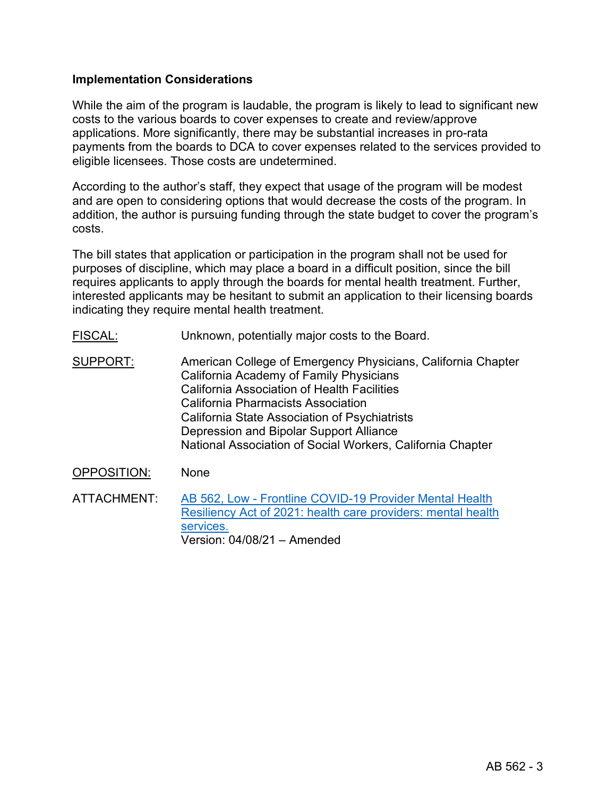## **Implementation Considerations**

While the aim of the program is laudable, the program is likely to lead to significant new costs to the various boards to cover expenses to create and review/approve applications. More significantly, there may be substantial increases in pro-rata payments from the boards to DCA to cover expenses related to the services provided to eligible licensees. Those costs are undetermined.

According to the author's staff, they expect that usage of the program will be modest and are open to considering options that would decrease the costs of the program. In addition, the author is pursuing funding through the state budget to cover the program's costs.

The bill states that application or participation in the program shall not be used for purposes of discipline, which may place a board in a difficult position, since the bill requires applicants to apply through the boards for mental health treatment. Further, interested applicants may be hesitant to submit an application to their licensing boards indicating they require mental health treatment.

- FISCAL: Unknown, potentially major costs to the Board.
- SUPPORT: American College of Emergency Physicians, California Chapter California Academy of Family Physicians California Association of Health Facilities California Pharmacists Association California State Association of Psychiatrists Depression and Bipolar Support Alliance National Association of Social Workers, California Chapter
- OPPOSITION: None
- ATTACHMENT: AB [562, Low Frontline COVID-19 Provider Mental Health](https://leginfo.legislature.ca.gov/faces/billTextClient.xhtml?bill_id=202120220AB562)  [Resiliency Act of 2021: health care providers: mental health](https://leginfo.legislature.ca.gov/faces/billTextClient.xhtml?bill_id=202120220AB562)  [services.](https://leginfo.legislature.ca.gov/faces/billTextClient.xhtml?bill_id=202120220AB562) Version: 04/08/21 – Amended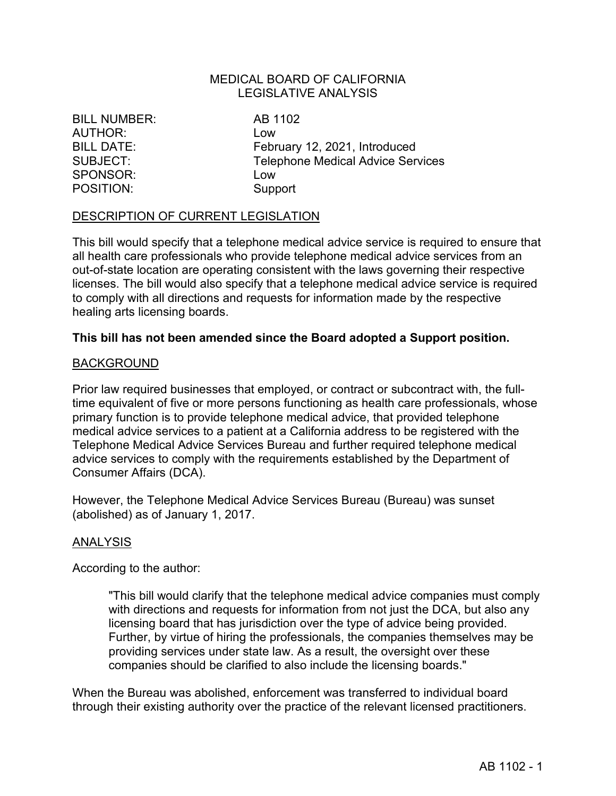BILL NUMBER: AB 1102 AUTHOR: Low SPONSOR: Low POSITION: Support

BILL DATE: February 12, 2021, Introduced SUBJECT: Telephone Medical Advice Services

#### DESCRIPTION OF CURRENT LEGISLATION

This bill would specify that a telephone medical advice service is required to ensure that all health care professionals who provide telephone medical advice services from an out-of-state location are operating consistent with the laws governing their respective licenses. The bill would also specify that a telephone medical advice service is required to comply with all directions and requests for information made by the respective healing arts licensing boards.

#### **This bill has not been amended since the Board adopted a Support position.**

#### **BACKGROUND**

Prior law required businesses that employed, or contract or subcontract with, the fulltime equivalent of five or more persons functioning as health care professionals, whose primary function is to provide telephone medical advice, that provided telephone medical advice services to a patient at a California address to be registered with the Telephone Medical Advice Services Bureau and further required telephone medical advice services to comply with the requirements established by the Department of Consumer Affairs (DCA).

However, the Telephone Medical Advice Services Bureau (Bureau) was sunset (abolished) as of January 1, 2017.

#### ANALYSIS

According to the author:

"This bill would clarify that the telephone medical advice companies must comply with directions and requests for information from not just the DCA, but also any licensing board that has jurisdiction over the type of advice being provided. Further, by virtue of hiring the professionals, the companies themselves may be providing services under state law. As a result, the oversight over these companies should be clarified to also include the licensing boards."

When the Bureau was abolished, enforcement was transferred to individual board through their existing authority over the practice of the relevant licensed practitioners.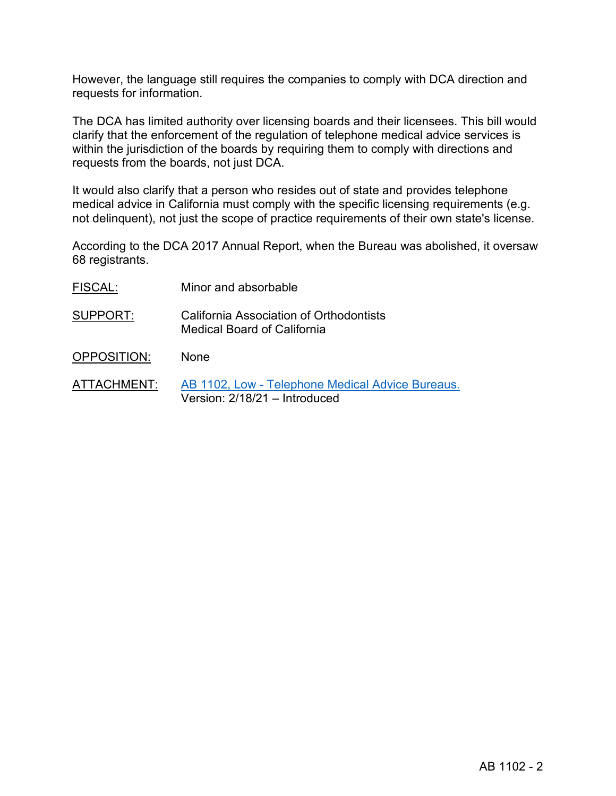However, the language still requires the companies to comply with DCA direction and requests for information.

The DCA has limited authority over licensing boards and their licensees. This bill would clarify that the enforcement of the regulation of telephone medical advice services is within the jurisdiction of the boards by requiring them to comply with directions and requests from the boards, not just DCA.

It would also clarify that a person who resides out of state and provides telephone medical advice in California must comply with the specific licensing requirements (e.g. not delinquent), not just the scope of practice requirements of their own state's license.

According to the DCA 2017 Annual Report, when the Bureau was abolished, it oversaw 68 registrants.

| FISCAL:     | Minor and absorbable                                                   |
|-------------|------------------------------------------------------------------------|
| SUPPORT:    | California Association of Orthodontists<br>Medical Board of California |
| OPPOSITION: | <b>None</b>                                                            |

ATTACHMENT: [AB 1102, Low - Telephone Medical Advice Bureaus.](https://leginfo.legislature.ca.gov/faces/billTextClient.xhtml?bill_id=202120220AB1102) Version: 2/18/21 – Introduced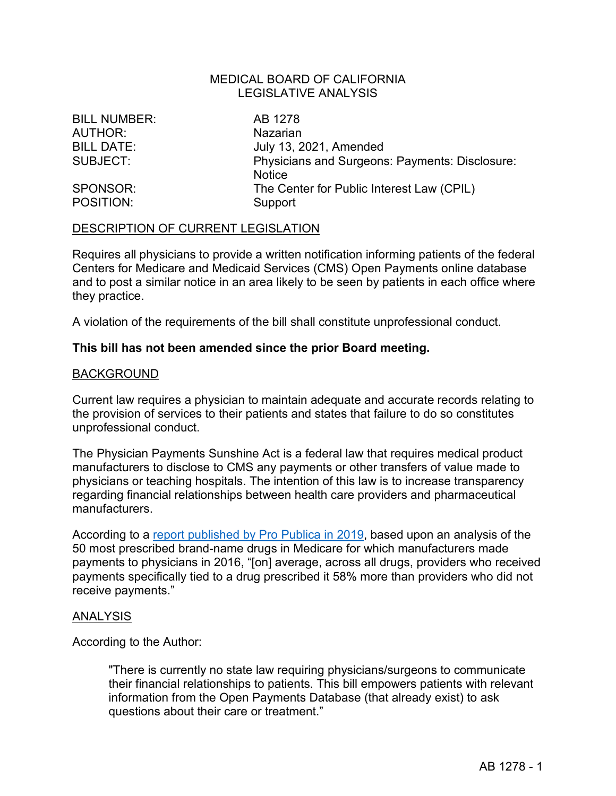BILL NUMBER: AB 1278 AUTHOR: Nazarian

POSITION: Support

BILL DATE: July 13, 2021, Amended SUBJECT: Physicians and Surgeons: Payments: Disclosure: **Notice** SPONSOR: The Center for Public Interest Law (CPIL)

#### DESCRIPTION OF CURRENT LEGISLATION

Requires all physicians to provide a written notification informing patients of the federal Centers for Medicare and Medicaid Services (CMS) Open Payments online database and to post a similar notice in an area likely to be seen by patients in each office where they practice.

A violation of the requirements of the bill shall constitute unprofessional conduct.

#### **This bill has not been amended since the prior Board meeting.**

#### BACKGROUND

Current law requires a physician to maintain adequate and accurate records relating to the provision of services to their patients and states that failure to do so constitutes unprofessional conduct.

The Physician Payments Sunshine Act is a federal law that requires medical product manufacturers to disclose to CMS any payments or other transfers of value made to physicians or teaching hospitals. The intention of this law is to increase transparency regarding financial relationships between health care providers and pharmaceutical manufacturers.

According to a [report published by Pro Publica in 2019,](https://www.propublica.org/article/doctors-prescribe-more-of-a-drug-if-they-receive-money-from-a-pharma-company-tied-to-it) based upon an analysis of the 50 most prescribed brand-name drugs in Medicare for which manufacturers made payments to physicians in 2016, "[on] average, across all drugs, providers who received payments specifically tied to a drug prescribed it 58% more than providers who did not receive payments."

#### ANALYSIS

According to the Author:

"There is currently no state law requiring physicians/surgeons to communicate their financial relationships to patients. This bill empowers patients with relevant information from the Open Payments Database (that already exist) to ask questions about their care or treatment."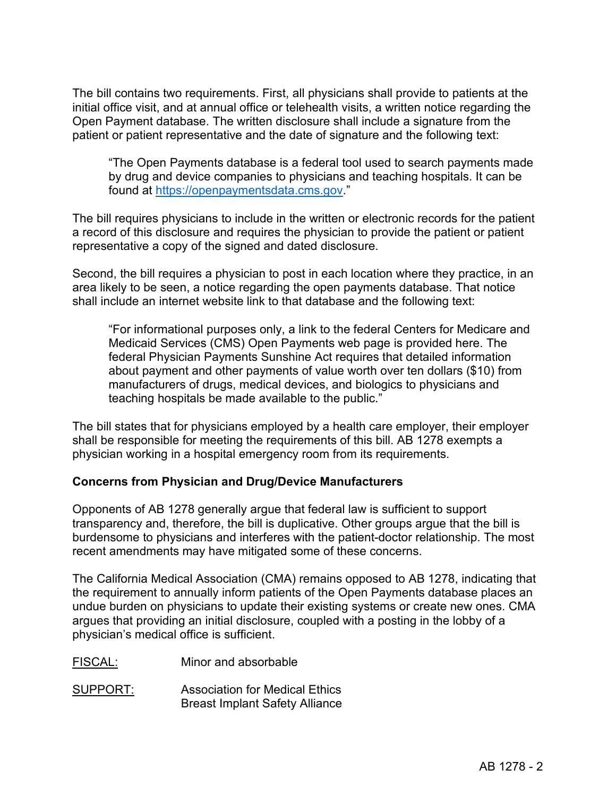The bill contains two requirements. First, all physicians shall provide to patients at the initial office visit, and at annual office or telehealth visits, a written notice regarding the Open Payment database. The written disclosure shall include a signature from the patient or patient representative and the date of signature and the following text:

"The Open Payments database is a federal tool used to search payments made by drug and device companies to physicians and teaching hospitals. It can be found at [https://openpaymentsdata.cms.gov.](https://openpaymentsdata.cms.gov/)"

The bill requires physicians to include in the written or electronic records for the patient a record of this disclosure and requires the physician to provide the patient or patient representative a copy of the signed and dated disclosure.

Second, the bill requires a physician to post in each location where they practice, in an area likely to be seen, a notice regarding the open payments database. That notice shall include an internet website link to that database and the following text:

"For informational purposes only, a link to the federal Centers for Medicare and Medicaid Services (CMS) Open Payments web page is provided here. The federal Physician Payments Sunshine Act requires that detailed information about payment and other payments of value worth over ten dollars (\$10) from manufacturers of drugs, medical devices, and biologics to physicians and teaching hospitals be made available to the public."

The bill states that for physicians employed by a health care employer, their employer shall be responsible for meeting the requirements of this bill. AB 1278 exempts a physician working in a hospital emergency room from its requirements.

## **Concerns from Physician and Drug/Device Manufacturers**

Opponents of AB 1278 generally argue that federal law is sufficient to support transparency and, therefore, the bill is duplicative. Other groups argue that the bill is burdensome to physicians and interferes with the patient-doctor relationship. The most recent amendments may have mitigated some of these concerns.

The California Medical Association (CMA) remains opposed to AB 1278, indicating that the requirement to annually inform patients of the Open Payments database places an undue burden on physicians to update their existing systems or create new ones. CMA argues that providing an initial disclosure, coupled with a posting in the lobby of a physician's medical office is sufficient.

FISCAL: Minor and absorbable

SUPPORT: Association for Medical Ethics Breast Implant Safety Alliance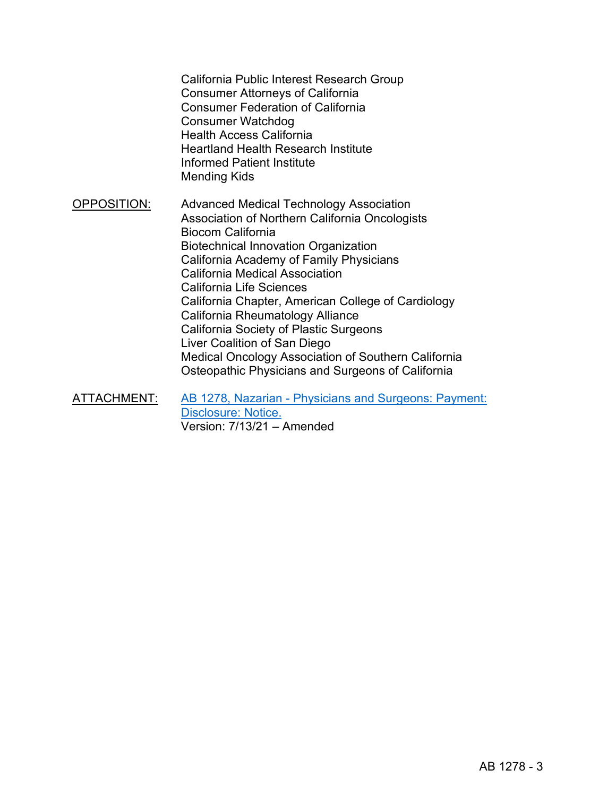California Public Interest Research Group Consumer Attorneys of California Consumer Federation of California Consumer Watchdog Health Access California Heartland Health Research Institute Informed Patient Institute Mending Kids OPPOSITION: Advanced Medical Technology Association Association of Northern California Oncologists Biocom California Biotechnical Innovation Organization California Academy of Family Physicians California Medical Association California Life Sciences California Chapter, American College of Cardiology California Rheumatology Alliance California Society of Plastic Surgeons Liver Coalition of San Diego Medical Oncology Association of Southern California Osteopathic Physicians and Surgeons of California

ATTACHMENT: [AB 1278, Nazarian - Physicians and Surgeons: Payment:](https://leginfo.legislature.ca.gov/faces/billTextClient.xhtml?bill_id=202120220AB1278)  [Disclosure: Notice.](https://leginfo.legislature.ca.gov/faces/billTextClient.xhtml?bill_id=202120220AB1278) Version: 7/13/21 – Amended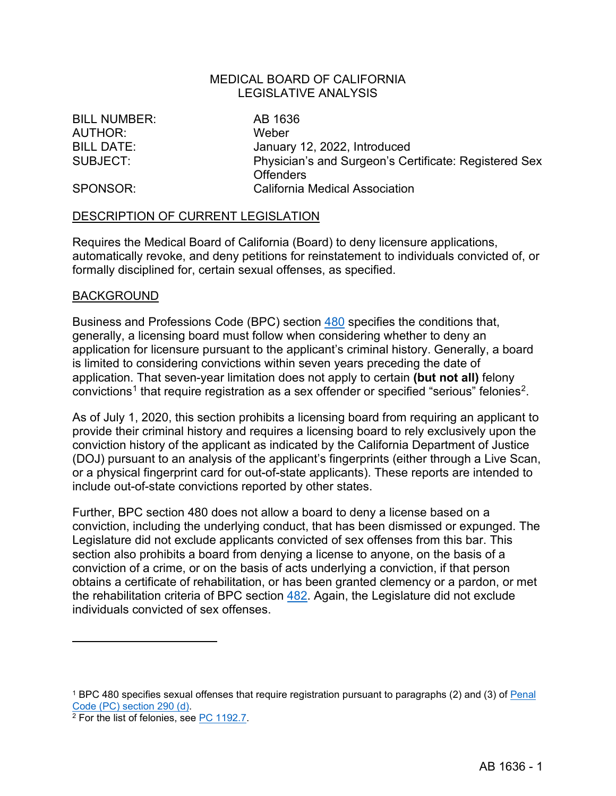BILL NUMBER: AB 1636 AUTHOR: Weber

BILL DATE: January 12, 2022, Introduced SUBJECT: Physician's and Surgeon's Certificate: Registered Sex **Offenders** SPONSOR: California Medical Association

#### DESCRIPTION OF CURRENT LEGISLATION

Requires the Medical Board of California (Board) to deny licensure applications, automatically revoke, and deny petitions for reinstatement to individuals convicted of, or formally disciplined for, certain sexual offenses, as specified.

#### BACKGROUND

Business and Professions Code (BPC) section [480](https://leginfo.legislature.ca.gov/faces/codes_displaySection.xhtml?sectionNum=480&lawCode=BPC) specifies the conditions that, generally, a licensing board must follow when considering whether to deny an application for licensure pursuant to the applicant's criminal history. Generally, a board is limited to considering convictions within seven years preceding the date of application. That seven-year limitation does not apply to certain **(but not all)** felony  $convictions<sup>1</sup>$  $convictions<sup>1</sup>$  $convictions<sup>1</sup>$  that require registration as a sex offender or specified "serious" felonies<sup>2</sup>.

As of July 1, 2020, this section prohibits a licensing board from requiring an applicant to provide their criminal history and requires a licensing board to rely exclusively upon the conviction history of the applicant as indicated by the California Department of Justice (DOJ) pursuant to an analysis of the applicant's fingerprints (either through a Live Scan, or a physical fingerprint card for out-of-state applicants). These reports are intended to include out-of-state convictions reported by other states.

Further, BPC section 480 does not allow a board to deny a license based on a conviction, including the underlying conduct, that has been dismissed or expunged. The Legislature did not exclude applicants convicted of sex offenses from this bar. This section also prohibits a board from denying a license to anyone, on the basis of a conviction of a crime, or on the basis of acts underlying a conviction, if that person obtains a certificate of rehabilitation, or has been granted clemency or a pardon, or met the rehabilitation criteria of BPC section [482.](https://leginfo.legislature.ca.gov/faces/codes_displaySection.xhtml?sectionNum=482&lawCode=BPC) Again, the Legislature did not exclude individuals convicted of sex offenses.

<span id="page-9-0"></span><sup>&</sup>lt;sup>1</sup> BPC 480 specifies sexual offenses that require registration pursuant to paragraphs (2) and (3) of <u>Penal</u> Code (PC) section 290 (d).

<span id="page-9-1"></span> $2$  For the list of felonies, see [PC 1192.7.](https://leginfo.legislature.ca.gov/faces/codes_displaySection.xhtml?sectionNum=1192.7.&lawCode=PEN)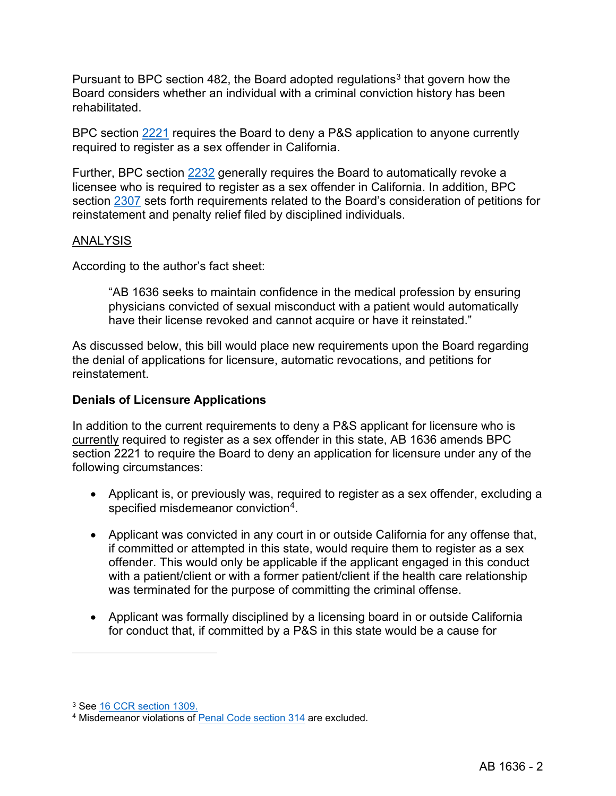Pursuant to BPC section 482, the Board adopted regulations<sup>[3](#page-10-0)</sup> that govern how the Board considers whether an individual with a criminal conviction history has been rehabilitated.

BPC section [2221](https://leginfo.legislature.ca.gov/faces/codes_displaySection.xhtml?sectionNum=2221.&lawCode=BPC) requires the Board to deny a P&S application to anyone currently required to register as a sex offender in California.

Further, BPC section [2232](https://leginfo.legislature.ca.gov/faces/codes_displaySection.xhtml?sectionNum=2232.&lawCode=BPC) generally requires the Board to automatically revoke a licensee who is required to register as a sex offender in California. In addition, BPC section [2307](https://leginfo.legislature.ca.gov/faces/codes_displaySection.xhtml?sectionNum=2307.&lawCode=BPC) sets forth requirements related to the Board's consideration of petitions for reinstatement and penalty relief filed by disciplined individuals.

## ANALYSIS

According to the author's fact sheet:

"AB 1636 seeks to maintain confidence in the medical profession by ensuring physicians convicted of sexual misconduct with a patient would automatically have their license revoked and cannot acquire or have it reinstated."

As discussed below, this bill would place new requirements upon the Board regarding the denial of applications for licensure, automatic revocations, and petitions for reinstatement.

## **Denials of Licensure Applications**

In addition to the current requirements to deny a P&S applicant for licensure who is currently required to register as a sex offender in this state, AB 1636 amends BPC section 2221 to require the Board to deny an application for licensure under any of the following circumstances:

- Applicant is, or previously was, required to register as a sex offender, excluding a specified misdemeanor conviction[4](#page-10-1).
- Applicant was convicted in any court in or outside California for any offense that, if committed or attempted in this state, would require them to register as a sex offender. This would only be applicable if the applicant engaged in this conduct with a patient/client or with a former patient/client if the health care relationship was terminated for the purpose of committing the criminal offense.
- Applicant was formally disciplined by a licensing board in or outside California for conduct that, if committed by a P&S in this state would be a cause for

<span id="page-10-0"></span><sup>3</sup> See [16 CCR section 1309.](https://govt.westlaw.com/calregs/Document/I84446E6A9771493493B48BE310EF6621?viewType=FullText&originationContext=documenttoc&transitionType=CategoryPageItem&contextData=(sc.Default))

<span id="page-10-1"></span><sup>4</sup> Misdemeanor violations of [Penal Code section 314](https://leginfo.legislature.ca.gov/faces/codes_displaySection.xhtml?sectionNum=314.&lawCode=PEN) are excluded.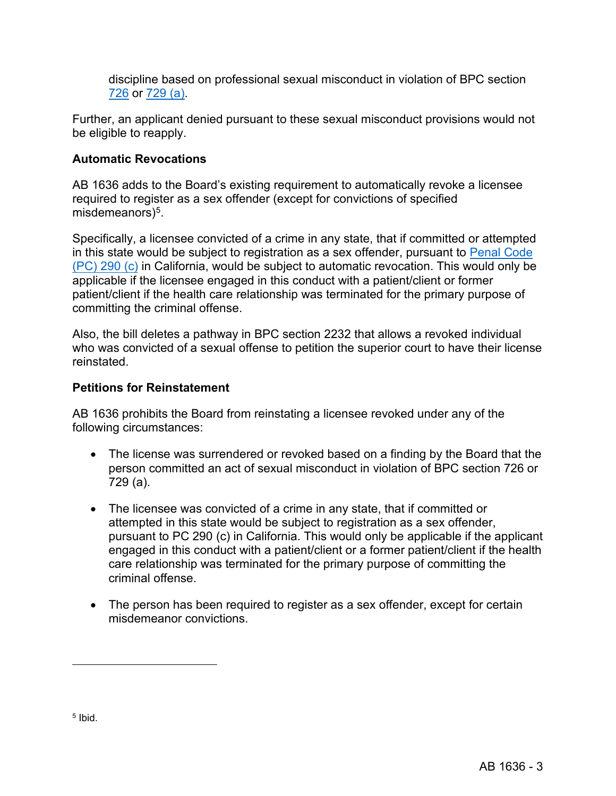discipline based on professional sexual misconduct in violation of BPC section [726](https://leginfo.legislature.ca.gov/faces/codes_displaySection.xhtml?sectionNum=726.&lawCode=BPC) or [729](https://leginfo.legislature.ca.gov/faces/codes_displaySection.xhtml?sectionNum=729.&nodeTreePath=4.1.13&lawCode=BPC) (a).

Further, an applicant denied pursuant to these sexual misconduct provisions would not be eligible to reapply.

# **Automatic Revocations**

AB 1636 adds to the Board's existing requirement to automatically revoke a licensee required to register as a sex offender (except for convictions of specified misdemeanors $)^5$ .

Specifically, a licensee convicted of a crime in any state, that if committed or attempted in this state would be subject to registration as a sex offender, pursuant to [Penal Code](https://leginfo.legislature.ca.gov/faces/codes_displaySection.xhtml?sectionNum=290.&lawCode=PEN)  [\(PC\) 290 \(c\)](https://leginfo.legislature.ca.gov/faces/codes_displaySection.xhtml?sectionNum=290.&lawCode=PEN) in California, would be subject to automatic revocation. This would only be applicable if the licensee engaged in this conduct with a patient/client or former patient/client if the health care relationship was terminated for the primary purpose of committing the criminal offense.

Also, the bill deletes a pathway in BPC section 2232 that allows a revoked individual who was convicted of a sexual offense to petition the superior court to have their license reinstated.

## **Petitions for Reinstatement**

AB 1636 prohibits the Board from reinstating a licensee revoked under any of the following circumstances:

- The license was surrendered or revoked based on a finding by the Board that the person committed an act of sexual misconduct in violation of BPC section 726 or 729 (a).
- The licensee was convicted of a crime in any state, that if committed or attempted in this state would be subject to registration as a sex offender, pursuant to PC 290 (c) in California. This would only be applicable if the applicant engaged in this conduct with a patient/client or a former patient/client if the health care relationship was terminated for the primary purpose of committing the criminal offense.
- <span id="page-11-0"></span>• The person has been required to register as a sex offender, except for certain misdemeanor convictions.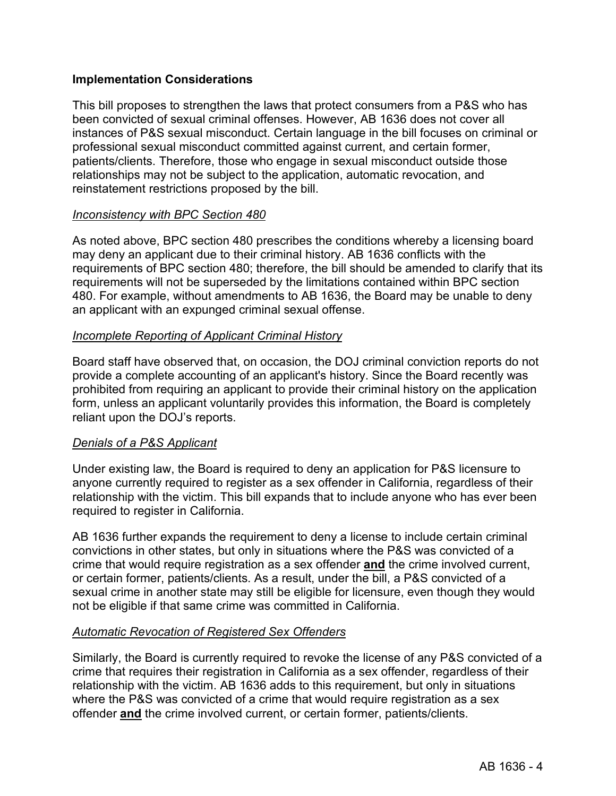## **Implementation Considerations**

This bill proposes to strengthen the laws that protect consumers from a P&S who has been convicted of sexual criminal offenses. However, AB 1636 does not cover all instances of P&S sexual misconduct. Certain language in the bill focuses on criminal or professional sexual misconduct committed against current, and certain former, patients/clients. Therefore, those who engage in sexual misconduct outside those relationships may not be subject to the application, automatic revocation, and reinstatement restrictions proposed by the bill.

## *Inconsistency with BPC Section 480*

As noted above, BPC section 480 prescribes the conditions whereby a licensing board may deny an applicant due to their criminal history. AB 1636 conflicts with the requirements of BPC section 480; therefore, the bill should be amended to clarify that its requirements will not be superseded by the limitations contained within BPC section 480. For example, without amendments to AB 1636, the Board may be unable to deny an applicant with an expunged criminal sexual offense.

## *Incomplete Reporting of Applicant Criminal History*

Board staff have observed that, on occasion, the DOJ criminal conviction reports do not provide a complete accounting of an applicant's history. Since the Board recently was prohibited from requiring an applicant to provide their criminal history on the application form, unless an applicant voluntarily provides this information, the Board is completely reliant upon the DOJ's reports.

## *Denials of a P&S Applicant*

Under existing law, the Board is required to deny an application for P&S licensure to anyone currently required to register as a sex offender in California, regardless of their relationship with the victim. This bill expands that to include anyone who has ever been required to register in California.

AB 1636 further expands the requirement to deny a license to include certain criminal convictions in other states, but only in situations where the P&S was convicted of a crime that would require registration as a sex offender **and** the crime involved current, or certain former, patients/clients. As a result, under the bill, a P&S convicted of a sexual crime in another state may still be eligible for licensure, even though they would not be eligible if that same crime was committed in California.

#### *Automatic Revocation of Registered Sex Offenders*

Similarly, the Board is currently required to revoke the license of any P&S convicted of a crime that requires their registration in California as a sex offender, regardless of their relationship with the victim. AB 1636 adds to this requirement, but only in situations where the P&S was convicted of a crime that would require registration as a sex offender **and** the crime involved current, or certain former, patients/clients.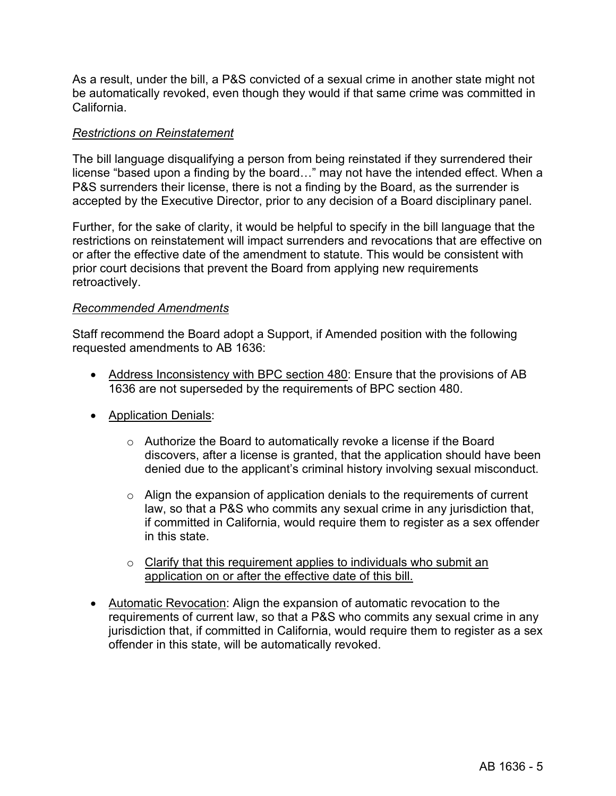As a result, under the bill, a P&S convicted of a sexual crime in another state might not be automatically revoked, even though they would if that same crime was committed in California.

## *Restrictions on Reinstatement*

The bill language disqualifying a person from being reinstated if they surrendered their license "based upon a finding by the board…" may not have the intended effect. When a P&S surrenders their license, there is not a finding by the Board, as the surrender is accepted by the Executive Director, prior to any decision of a Board disciplinary panel.

Further, for the sake of clarity, it would be helpful to specify in the bill language that the restrictions on reinstatement will impact surrenders and revocations that are effective on or after the effective date of the amendment to statute. This would be consistent with prior court decisions that prevent the Board from applying new requirements retroactively.

## *Recommended Amendments*

Staff recommend the Board adopt a Support, if Amended position with the following requested amendments to AB 1636:

- Address Inconsistency with BPC section 480: Ensure that the provisions of AB 1636 are not superseded by the requirements of BPC section 480.
- Application Denials:
	- o Authorize the Board to automatically revoke a license if the Board discovers, after a license is granted, that the application should have been denied due to the applicant's criminal history involving sexual misconduct.
	- o Align the expansion of application denials to the requirements of current law, so that a P&S who commits any sexual crime in any jurisdiction that, if committed in California, would require them to register as a sex offender in this state.
	- o Clarify that this requirement applies to individuals who submit an application on or after the effective date of this bill.
- Automatic Revocation: Align the expansion of automatic revocation to the requirements of current law, so that a P&S who commits any sexual crime in any jurisdiction that, if committed in California, would require them to register as a sex offender in this state, will be automatically revoked.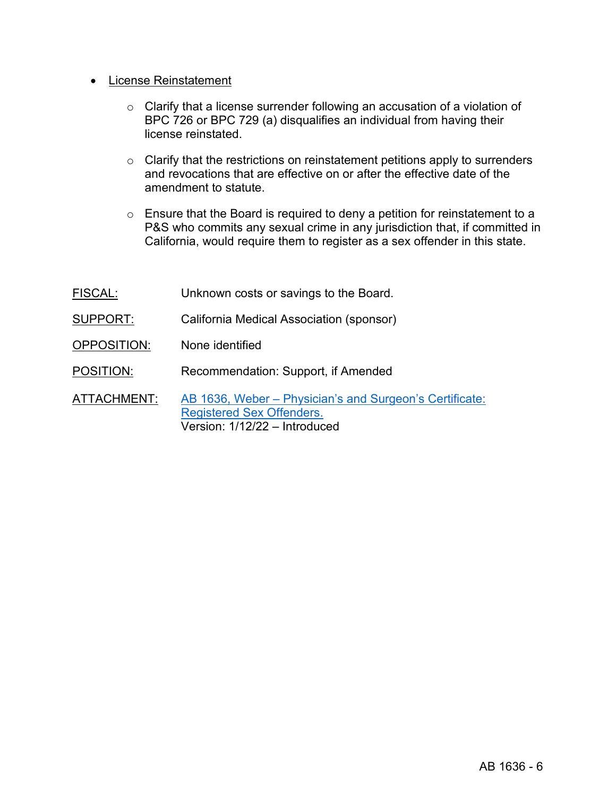- License Reinstatement
	- o Clarify that a license surrender following an accusation of a violation of BPC 726 or BPC 729 (a) disqualifies an individual from having their license reinstated.
	- o Clarify that the restrictions on reinstatement petitions apply to surrenders and revocations that are effective on or after the effective date of the amendment to statute.
	- $\circ$  Ensure that the Board is required to deny a petition for reinstatement to a P&S who commits any sexual crime in any jurisdiction that, if committed in California, would require them to register as a sex offender in this state.

| <b>FISCAL:</b> | Unknown costs or savings to the Board.                                                                                       |
|----------------|------------------------------------------------------------------------------------------------------------------------------|
| SUPPORT:       | California Medical Association (sponsor)                                                                                     |
| OPPOSITION:    | None identified                                                                                                              |
| POSITION:      | Recommendation: Support, if Amended                                                                                          |
| ATTACHMENT:    | AB 1636, Weber – Physician's and Surgeon's Certificate:<br><b>Registered Sex Offenders.</b><br>Version: 1/12/22 - Introduced |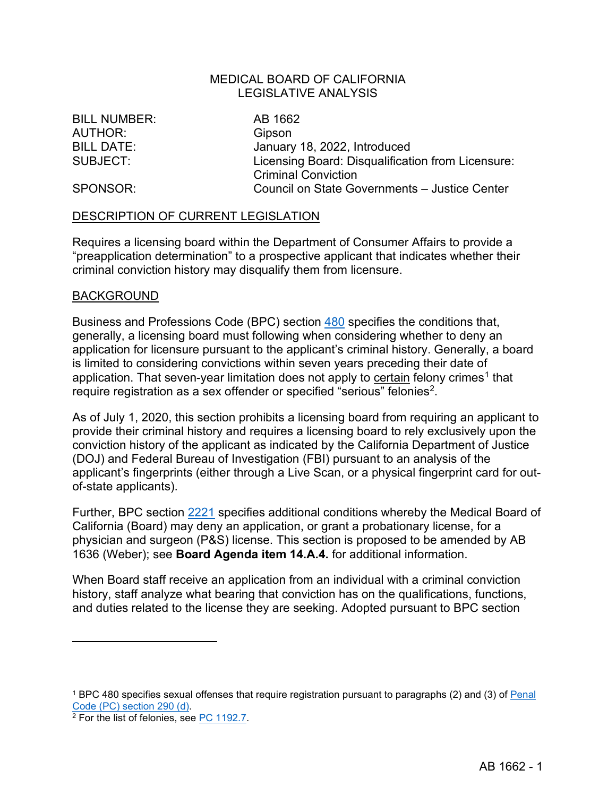BILL NUMBER: AB 1662 AUTHOR: Gipson

BILL DATE: January 18, 2022, Introduced SUBJECT: Licensing Board: Disqualification from Licensure: Criminal Conviction SPONSOR: Council on State Governments – Justice Center

#### DESCRIPTION OF CURRENT LEGISLATION

Requires a licensing board within the Department of Consumer Affairs to provide a "preapplication determination" to a prospective applicant that indicates whether their criminal conviction history may disqualify them from licensure.

#### BACKGROUND

Business and Professions Code (BPC) section [480](https://leginfo.legislature.ca.gov/faces/codes_displaySection.xhtml?sectionNum=480&lawCode=BPC) specifies the conditions that, generally, a licensing board must following when considering whether to deny an application for licensure pursuant to the applicant's criminal history. Generally, a board is limited to considering convictions within seven years preceding their date of application. That seven-year limitation does not apply to certain felony crimes<sup>[1](#page-15-0)</sup> that require registration as a sex offender or specified "serious" felonies<sup>2</sup>.

As of July 1, 2020, this section prohibits a licensing board from requiring an applicant to provide their criminal history and requires a licensing board to rely exclusively upon the conviction history of the applicant as indicated by the California Department of Justice (DOJ) and Federal Bureau of Investigation (FBI) pursuant to an analysis of the applicant's fingerprints (either through a Live Scan, or a physical fingerprint card for outof-state applicants).

Further, BPC section [2221](https://leginfo.legislature.ca.gov/faces/codes_displaySection.xhtml?sectionNum=2221.&lawCode=BPC) specifies additional conditions whereby the Medical Board of California (Board) may deny an application, or grant a probationary license, for a physician and surgeon (P&S) license. This section is proposed to be amended by AB 1636 (Weber); see **Board Agenda item 14.A.4.** for additional information.

When Board staff receive an application from an individual with a criminal conviction history, staff analyze what bearing that conviction has on the qualifications, functions, and duties related to the license they are seeking. Adopted pursuant to BPC section

<span id="page-15-0"></span><sup>&</sup>lt;sup>1</sup> BPC 480 specifies sexual offenses that require registration pursuant to paragraphs (2) and (3) of <u>Penal</u> Code (PC) section 290 (d).

<span id="page-15-1"></span> $2$  For the list of felonies, see [PC 1192.7.](https://leginfo.legislature.ca.gov/faces/codes_displaySection.xhtml?sectionNum=1192.7.&lawCode=PEN)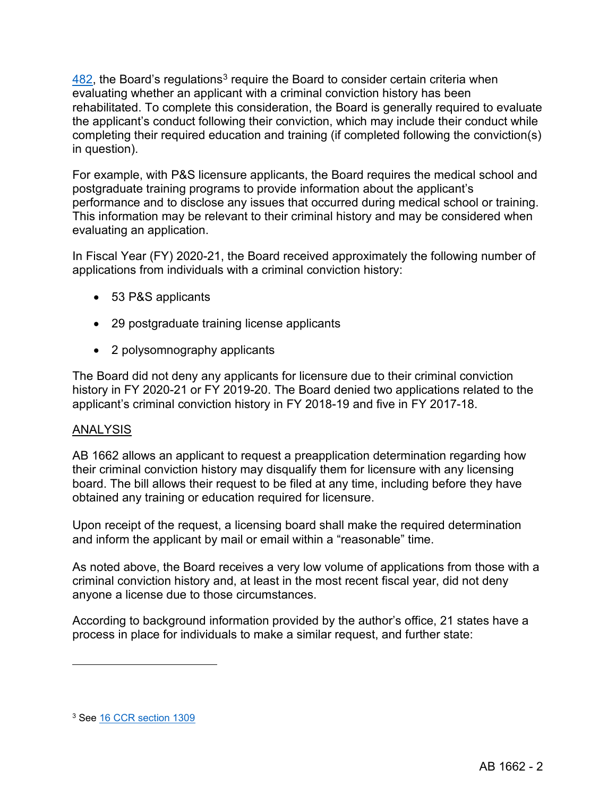$482$ , the Board's regulations<sup>[3](#page-16-0)</sup> require the Board to consider certain criteria when evaluating whether an applicant with a criminal conviction history has been rehabilitated. To complete this consideration, the Board is generally required to evaluate the applicant's conduct following their conviction, which may include their conduct while completing their required education and training (if completed following the conviction(s) in question).

For example, with P&S licensure applicants, the Board requires the medical school and postgraduate training programs to provide information about the applicant's performance and to disclose any issues that occurred during medical school or training. This information may be relevant to their criminal history and may be considered when evaluating an application.

In Fiscal Year (FY) 2020-21, the Board received approximately the following number of applications from individuals with a criminal conviction history:

- 53 P&S applicants
- 29 postgraduate training license applicants
- 2 polysomnography applicants

The Board did not deny any applicants for licensure due to their criminal conviction history in FY 2020-21 or FY 2019-20. The Board denied two applications related to the applicant's criminal conviction history in FY 2018-19 and five in FY 2017-18.

## ANALYSIS

AB 1662 allows an applicant to request a preapplication determination regarding how their criminal conviction history may disqualify them for licensure with any licensing board. The bill allows their request to be filed at any time, including before they have obtained any training or education required for licensure.

Upon receipt of the request, a licensing board shall make the required determination and inform the applicant by mail or email within a "reasonable" time.

As noted above, the Board receives a very low volume of applications from those with a criminal conviction history and, at least in the most recent fiscal year, did not deny anyone a license due to those circumstances.

According to background information provided by the author's office, 21 states have a process in place for individuals to make a similar request, and further state:

<span id="page-16-0"></span><sup>3</sup> See [16 CCR section 1309](https://govt.westlaw.com/calregs/Document/I84446E6A9771493493B48BE310EF6621?viewType=FullText&originationContext=documenttoc&transitionType=CategoryPageItem&contextData=(sc.Default))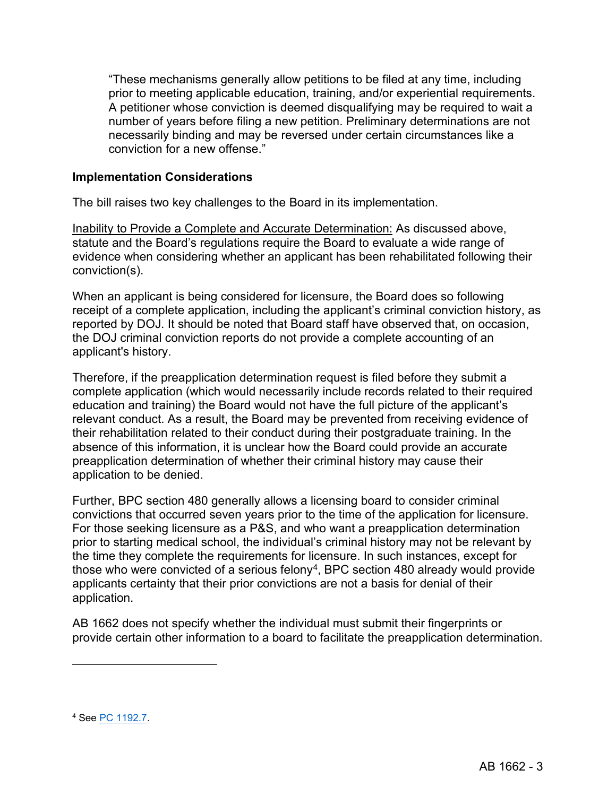"These mechanisms generally allow petitions to be filed at any time, including prior to meeting applicable education, training, and/or experiential requirements. A petitioner whose conviction is deemed disqualifying may be required to wait a number of years before filing a new petition. Preliminary determinations are not necessarily binding and may be reversed under certain circumstances like a conviction for a new offense."

## **Implementation Considerations**

The bill raises two key challenges to the Board in its implementation.

Inability to Provide a Complete and Accurate Determination: As discussed above, statute and the Board's regulations require the Board to evaluate a wide range of evidence when considering whether an applicant has been rehabilitated following their conviction(s).

When an applicant is being considered for licensure, the Board does so following receipt of a complete application, including the applicant's criminal conviction history, as reported by DOJ. It should be noted that Board staff have observed that, on occasion, the DOJ criminal conviction reports do not provide a complete accounting of an applicant's history.

Therefore, if the preapplication determination request is filed before they submit a complete application (which would necessarily include records related to their required education and training) the Board would not have the full picture of the applicant's relevant conduct. As a result, the Board may be prevented from receiving evidence of their rehabilitation related to their conduct during their postgraduate training. In the absence of this information, it is unclear how the Board could provide an accurate preapplication determination of whether their criminal history may cause their application to be denied.

Further, BPC section 480 generally allows a licensing board to consider criminal convictions that occurred seven years prior to the time of the application for licensure. For those seeking licensure as a P&S, and who want a preapplication determination prior to starting medical school, the individual's criminal history may not be relevant by the time they complete the requirements for licensure. In such instances, except for those who were convicted of a serious felony<sup>4</sup>, BPC section 480 already would provide applicants certainty that their prior convictions are not a basis for denial of their application.

AB 1662 does not specify whether the individual must submit their fingerprints or provide certain other information to a board to facilitate the preapplication determination.

<span id="page-17-0"></span><sup>4</sup> See [PC 1192.7.](https://leginfo.legislature.ca.gov/faces/codes_displaySection.xhtml?sectionNum=1192.7.&lawCode=PEN)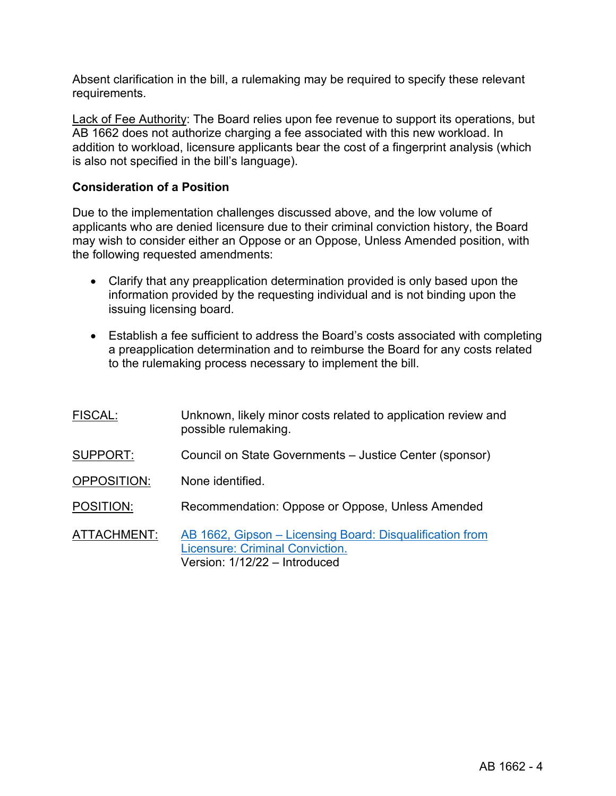Absent clarification in the bill, a rulemaking may be required to specify these relevant requirements.

Lack of Fee Authority: The Board relies upon fee revenue to support its operations, but AB 1662 does not authorize charging a fee associated with this new workload. In addition to workload, licensure applicants bear the cost of a fingerprint analysis (which is also not specified in the bill's language).

## **Consideration of a Position**

Due to the implementation challenges discussed above, and the low volume of applicants who are denied licensure due to their criminal conviction history, the Board may wish to consider either an Oppose or an Oppose, Unless Amended position, with the following requested amendments:

- Clarify that any preapplication determination provided is only based upon the information provided by the requesting individual and is not binding upon the issuing licensing board.
- Establish a fee sufficient to address the Board's costs associated with completing a preapplication determination and to reimburse the Board for any costs related to the rulemaking process necessary to implement the bill.

| <b>FISCAL:</b>     | Unknown, likely minor costs related to application review and<br>possible rulemaking.                                               |
|--------------------|-------------------------------------------------------------------------------------------------------------------------------------|
| SUPPORT:           | Council on State Governments – Justice Center (sponsor)                                                                             |
| <b>OPPOSITION:</b> | None identified.                                                                                                                    |
| POSITION:          | Recommendation: Oppose or Oppose, Unless Amended                                                                                    |
| ATTACHMENT:        | AB 1662, Gipson – Licensing Board: Disqualification from<br><b>Licensure: Criminal Conviction.</b><br>Version: 1/12/22 - Introduced |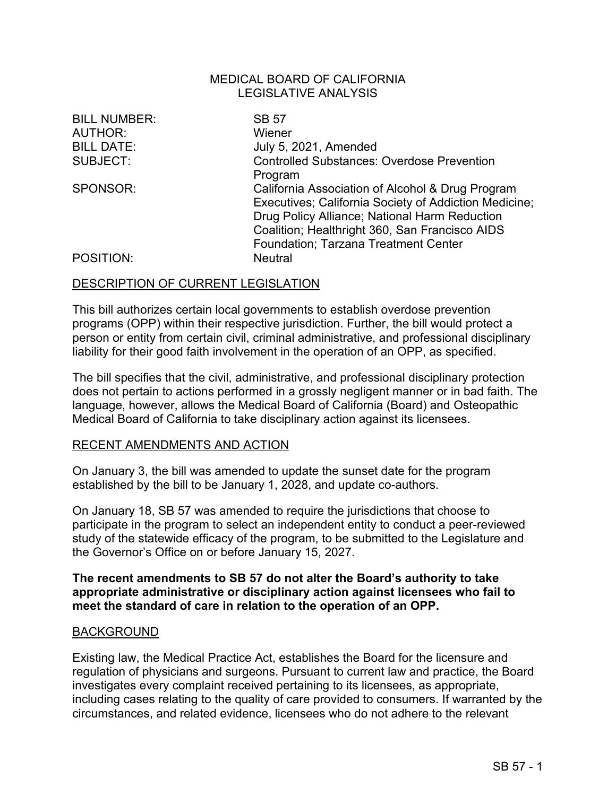| <b>BILL NUMBER:</b><br><b>AUTHOR:</b><br><b>BILL DATE:</b><br>SUBJECT: | <b>SB 57</b><br>Wiener<br>July 5, 2021, Amended<br><b>Controlled Substances: Overdose Prevention</b><br>Program                                                                                                                                                        |
|------------------------------------------------------------------------|------------------------------------------------------------------------------------------------------------------------------------------------------------------------------------------------------------------------------------------------------------------------|
| SPONSOR:<br>POSITION:                                                  | California Association of Alcohol & Drug Program<br>Executives; California Society of Addiction Medicine;<br>Drug Policy Alliance; National Harm Reduction<br>Coalition; Healthright 360, San Francisco AIDS<br>Foundation; Tarzana Treatment Center<br><b>Neutral</b> |

#### DESCRIPTION OF CURRENT LEGISLATION

This bill authorizes certain local governments to establish overdose prevention programs (OPP) within their respective jurisdiction. Further, the bill would protect a person or entity from certain civil, criminal administrative, and professional disciplinary liability for their good faith involvement in the operation of an OPP, as specified.

The bill specifies that the civil, administrative, and professional disciplinary protection does not pertain to actions performed in a grossly negligent manner or in bad faith. The language, however, allows the Medical Board of California (Board) and Osteopathic Medical Board of California to take disciplinary action against its licensees.

#### RECENT AMENDMENTS AND ACTION

On January 3, the bill was amended to update the sunset date for the program established by the bill to be January 1, 2028, and update co-authors.

On January 18, SB 57 was amended to require the jurisdictions that choose to participate in the program to select an independent entity to conduct a peer-reviewed study of the statewide efficacy of the program, to be submitted to the Legislature and the Governor's Office on or before January 15, 2027.

#### **The recent amendments to SB 57 do not alter the Board's authority to take appropriate administrative or disciplinary action against licensees who fail to meet the standard of care in relation to the operation of an OPP.**

#### BACKGROUND

Existing law, the Medical Practice Act, establishes the Board for the licensure and regulation of physicians and surgeons. Pursuant to current law and practice, the Board investigates every complaint received pertaining to its licensees, as appropriate, including cases relating to the quality of care provided to consumers. If warranted by the circumstances, and related evidence, licensees who do not adhere to the relevant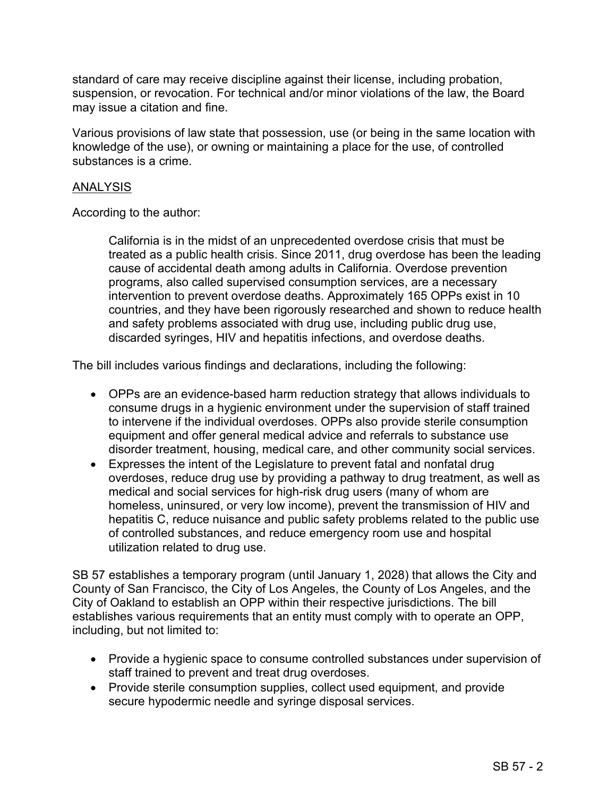standard of care may receive discipline against their license, including probation, suspension, or revocation. For technical and/or minor violations of the law, the Board may issue a citation and fine.

Various provisions of law state that possession, use (or being in the same location with knowledge of the use), or owning or maintaining a place for the use, of controlled substances is a crime.

## ANALYSIS

According to the author:

California is in the midst of an unprecedented overdose crisis that must be treated as a public health crisis. Since 2011, drug overdose has been the leading cause of accidental death among adults in California. Overdose prevention programs, also called supervised consumption services, are a necessary intervention to prevent overdose deaths. Approximately 165 OPPs exist in 10 countries, and they have been rigorously researched and shown to reduce health and safety problems associated with drug use, including public drug use, discarded syringes, HIV and hepatitis infections, and overdose deaths.

The bill includes various findings and declarations, including the following:

- OPPs are an evidence-based harm reduction strategy that allows individuals to consume drugs in a hygienic environment under the supervision of staff trained to intervene if the individual overdoses. OPPs also provide sterile consumption equipment and offer general medical advice and referrals to substance use disorder treatment, housing, medical care, and other community social services.
- Expresses the intent of the Legislature to prevent fatal and nonfatal drug overdoses, reduce drug use by providing a pathway to drug treatment, as well as medical and social services for high-risk drug users (many of whom are homeless, uninsured, or very low income), prevent the transmission of HIV and hepatitis C, reduce nuisance and public safety problems related to the public use of controlled substances, and reduce emergency room use and hospital utilization related to drug use.

SB 57 establishes a temporary program (until January 1, 2028) that allows the City and County of San Francisco, the City of Los Angeles, the County of Los Angeles, and the City of Oakland to establish an OPP within their respective jurisdictions. The bill establishes various requirements that an entity must comply with to operate an OPP, including, but not limited to:

- Provide a hygienic space to consume controlled substances under supervision of staff trained to prevent and treat drug overdoses.
- Provide sterile consumption supplies, collect used equipment, and provide secure hypodermic needle and syringe disposal services.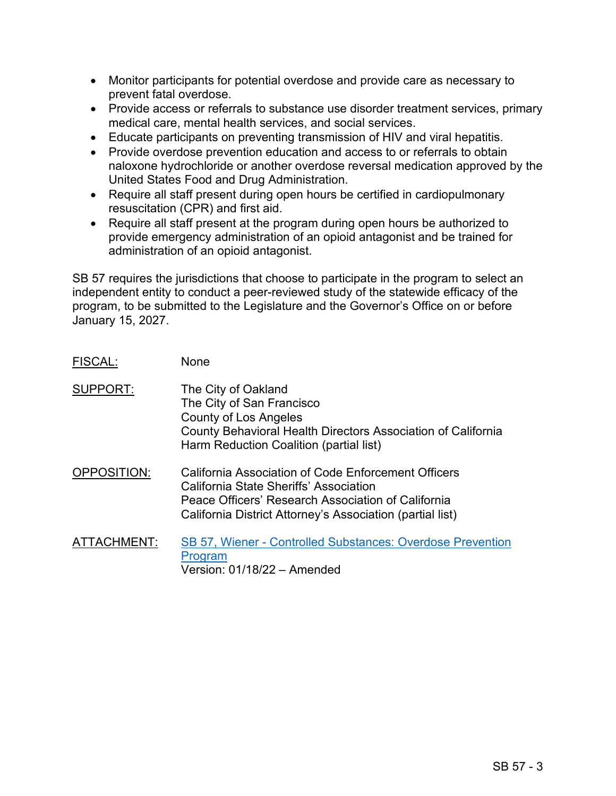- Monitor participants for potential overdose and provide care as necessary to prevent fatal overdose.
- Provide access or referrals to substance use disorder treatment services, primary medical care, mental health services, and social services.
- Educate participants on preventing transmission of HIV and viral hepatitis.
- Provide overdose prevention education and access to or referrals to obtain naloxone hydrochloride or another overdose reversal medication approved by the United States Food and Drug Administration.
- Require all staff present during open hours be certified in cardiopulmonary resuscitation (CPR) and first aid.
- Require all staff present at the program during open hours be authorized to provide emergency administration of an opioid antagonist and be trained for administration of an opioid antagonist.

SB 57 requires the jurisdictions that choose to participate in the program to select an independent entity to conduct a peer-reviewed study of the statewide efficacy of the program, to be submitted to the Legislature and the Governor's Office on or before January 15, 2027.

- FISCAL: None
- SUPPORT: The City of Oakland The City of San Francisco County of Los Angeles County Behavioral Health Directors Association of California Harm Reduction Coalition (partial list)
- OPPOSITION: California Association of Code Enforcement Officers California State Sheriffs' Association Peace Officers' Research Association of California California District Attorney's Association (partial list)
- ATTACHMENT: [SB 57, Wiener Controlled Substances: Overdose Prevention](https://leginfo.legislature.ca.gov/faces/billNavClient.xhtml?bill_id=202120220SB57)  **[Program](https://leginfo.legislature.ca.gov/faces/billNavClient.xhtml?bill_id=202120220SB57)** Version: 01/18/22 – Amended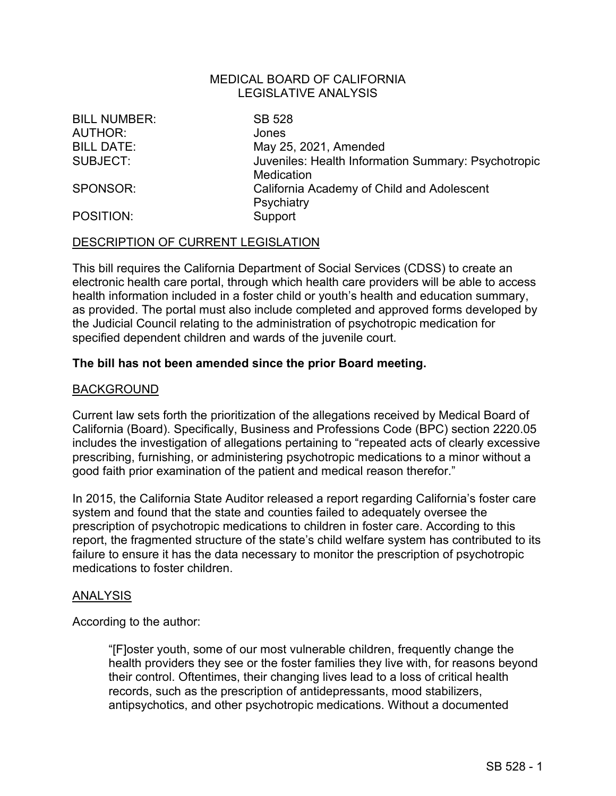BILL NUMBER: SB 528 AUTHOR: Jones

BILL DATE: May 25, 2021, Amended SUBJECT: Juveniles: Health Information Summary: Psychotropic **Medication** SPONSOR: California Academy of Child and Adolescent **Psychiatry** POSITION: Support

## DESCRIPTION OF CURRENT LEGISLATION

This bill requires the California Department of Social Services (CDSS) to create an electronic health care portal, through which health care providers will be able to access health information included in a foster child or youth's health and education summary, as provided. The portal must also include completed and approved forms developed by the Judicial Council relating to the administration of psychotropic medication for specified dependent children and wards of the juvenile court.

#### **The bill has not been amended since the prior Board meeting.**

#### BACKGROUND

Current law sets forth the prioritization of the allegations received by Medical Board of California (Board). Specifically, Business and Professions Code (BPC) section 2220.05 includes the investigation of allegations pertaining to "repeated acts of clearly excessive prescribing, furnishing, or administering psychotropic medications to a minor without a good faith prior examination of the patient and medical reason therefor."

In 2015, the California State Auditor released a report regarding California's foster care system and found that the state and counties failed to adequately oversee the prescription of psychotropic medications to children in foster care. According to this report, the fragmented structure of the state's child welfare system has contributed to its failure to ensure it has the data necessary to monitor the prescription of psychotropic medications to foster children.

#### ANALYSIS

According to the author:

"[F]oster youth, some of our most vulnerable children, frequently change the health providers they see or the foster families they live with, for reasons beyond their control. Oftentimes, their changing lives lead to a loss of critical health records, such as the prescription of antidepressants, mood stabilizers, antipsychotics, and other psychotropic medications. Without a documented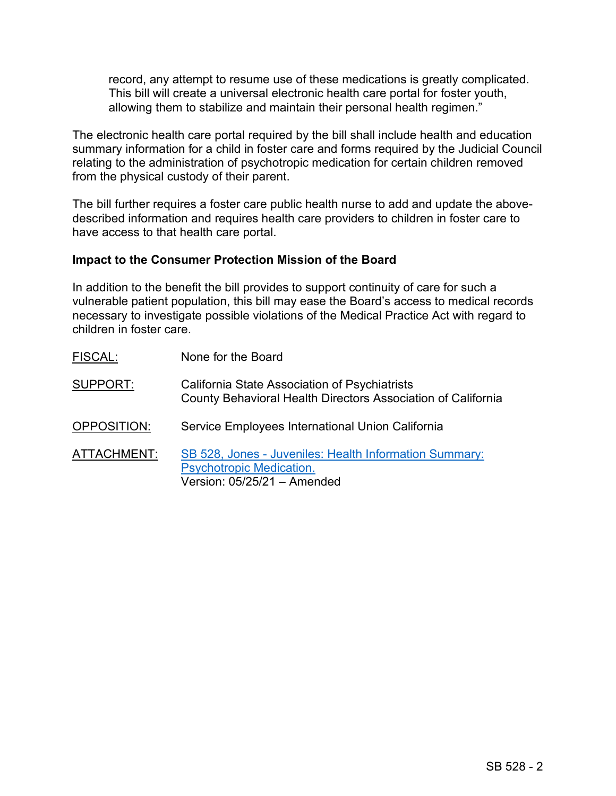record, any attempt to resume use of these medications is greatly complicated. This bill will create a universal electronic health care portal for foster youth, allowing them to stabilize and maintain their personal health regimen."

The electronic health care portal required by the bill shall include health and education summary information for a child in foster care and forms required by the Judicial Council relating to the administration of psychotropic medication for certain children removed from the physical custody of their parent.

The bill further requires a foster care public health nurse to add and update the abovedescribed information and requires health care providers to children in foster care to have access to that health care portal.

## **Impact to the Consumer Protection Mission of the Board**

In addition to the benefit the bill provides to support continuity of care for such a vulnerable patient population, this bill may ease the Board's access to medical records necessary to investigate possible violations of the Medical Practice Act with regard to children in foster care.

FISCAL: None for the Board SUPPORT: California State Association of Psychiatrists County Behavioral Health Directors Association of California OPPOSITION: Service Employees International Union California ATTACHMENT: [SB 528, Jones - Juveniles: Health Information Summary:](https://leginfo.legislature.ca.gov/faces/billTextClient.xhtml?bill_id=202120220SB528)  [Psychotropic Medication.](https://leginfo.legislature.ca.gov/faces/billTextClient.xhtml?bill_id=202120220SB528) Version: 05/25/21 – Amended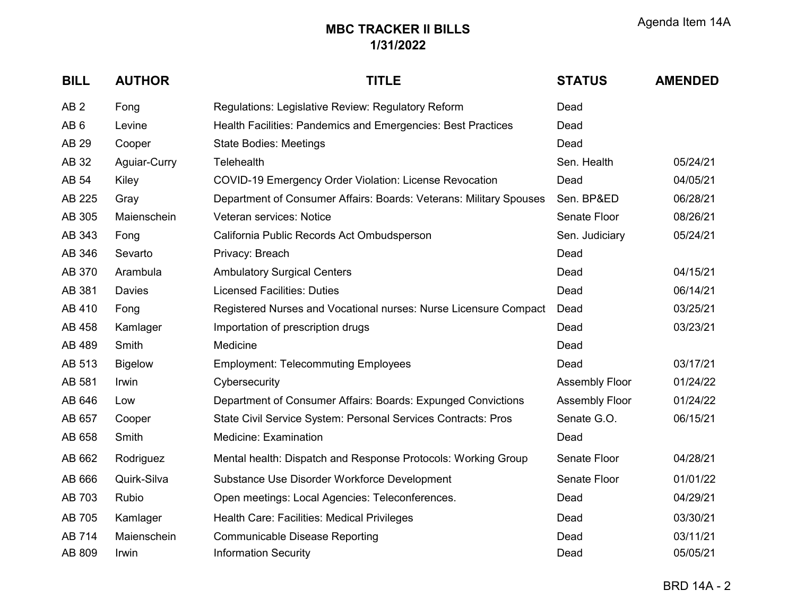| <b>BILL</b>     | <b>AUTHOR</b>  | <b>TITLE</b>                                                       | <b>STATUS</b>         | <b>AMENDED</b> |
|-----------------|----------------|--------------------------------------------------------------------|-----------------------|----------------|
| AB <sub>2</sub> | Fong           | Regulations: Legislative Review: Regulatory Reform                 | Dead                  |                |
| AB <sub>6</sub> | Levine         | Health Facilities: Pandemics and Emergencies: Best Practices       | Dead                  |                |
| AB 29           | Cooper         | <b>State Bodies: Meetings</b>                                      | Dead                  |                |
| AB 32           | Aguiar-Curry   | <b>Telehealth</b>                                                  | Sen. Health           | 05/24/21       |
| AB 54           | Kiley          | <b>COVID-19 Emergency Order Violation: License Revocation</b>      | Dead                  | 04/05/21       |
| AB 225          | Gray           | Department of Consumer Affairs: Boards: Veterans: Military Spouses | Sen. BP&ED            | 06/28/21       |
| AB 305          | Maienschein    | Veteran services: Notice                                           | Senate Floor          | 08/26/21       |
| AB 343          | Fong           | California Public Records Act Ombudsperson                         | Sen. Judiciary        | 05/24/21       |
| AB 346          | Sevarto        | Privacy: Breach                                                    | Dead                  |                |
| AB 370          | Arambula       | <b>Ambulatory Surgical Centers</b>                                 | Dead                  | 04/15/21       |
| AB 381          | Davies         | <b>Licensed Facilities: Duties</b>                                 | Dead                  | 06/14/21       |
| AB 410          | Fong           | Registered Nurses and Vocational nurses: Nurse Licensure Compact   | Dead                  | 03/25/21       |
| AB 458          | Kamlager       | Importation of prescription drugs                                  | Dead                  | 03/23/21       |
| AB 489          | Smith          | Medicine                                                           | Dead                  |                |
| AB 513          | <b>Bigelow</b> | <b>Employment: Telecommuting Employees</b>                         | Dead                  | 03/17/21       |
| AB 581          | Irwin          | Cybersecurity                                                      | <b>Assembly Floor</b> | 01/24/22       |
| AB 646          | Low            | Department of Consumer Affairs: Boards: Expunged Convictions       | <b>Assembly Floor</b> | 01/24/22       |
| AB 657          | Cooper         | State Civil Service System: Personal Services Contracts: Pros      | Senate G.O.           | 06/15/21       |
| AB 658          | Smith          | Medicine: Examination                                              | Dead                  |                |
| AB 662          | Rodriguez      | Mental health: Dispatch and Response Protocols: Working Group      | Senate Floor          | 04/28/21       |
| AB 666          | Quirk-Silva    | Substance Use Disorder Workforce Development                       | Senate Floor          | 01/01/22       |
| AB 703          | Rubio          | Open meetings: Local Agencies: Teleconferences.                    | Dead                  | 04/29/21       |
| AB 705          | Kamlager       | Health Care: Facilities: Medical Privileges                        | Dead                  | 03/30/21       |
| AB 714          | Maienschein    | <b>Communicable Disease Reporting</b>                              | Dead                  | 03/11/21       |
| AB 809          | Irwin          | <b>Information Security</b>                                        | Dead                  | 05/05/21       |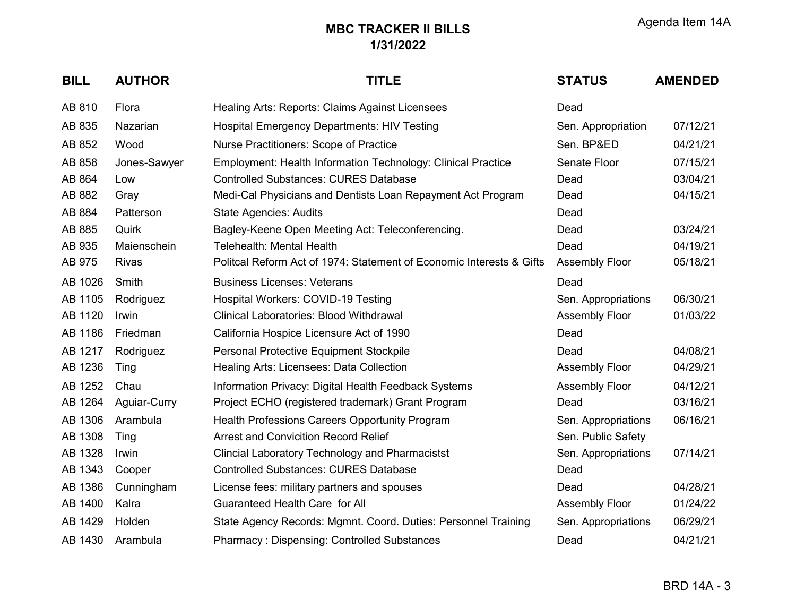| <b>BILL</b> | <b>AUTHOR</b> | <b>TITLE</b>                                                         | <b>STATUS</b>         | <b>AMENDED</b> |
|-------------|---------------|----------------------------------------------------------------------|-----------------------|----------------|
| AB 810      | Flora         | Healing Arts: Reports: Claims Against Licensees                      | Dead                  |                |
| AB 835      | Nazarian      | <b>Hospital Emergency Departments: HIV Testing</b>                   | Sen. Appropriation    | 07/12/21       |
| AB 852      | Wood          | Nurse Practitioners: Scope of Practice                               | Sen. BP&ED            | 04/21/21       |
| AB 858      | Jones-Sawyer  | <b>Employment: Health Information Technology: Clinical Practice</b>  | Senate Floor          | 07/15/21       |
| AB 864      | Low           | <b>Controlled Substances: CURES Database</b>                         | Dead                  | 03/04/21       |
| AB 882      | Gray          | Medi-Cal Physicians and Dentists Loan Repayment Act Program          | Dead                  | 04/15/21       |
| AB 884      | Patterson     | <b>State Agencies: Audits</b>                                        | Dead                  |                |
| AB 885      | Quirk         | Bagley-Keene Open Meeting Act: Teleconferencing.                     | Dead                  | 03/24/21       |
| AB 935      | Maienschein   | Telehealth: Mental Health                                            | Dead                  | 04/19/21       |
| AB 975      | <b>Rivas</b>  | Politcal Reform Act of 1974: Statement of Economic Interests & Gifts | <b>Assembly Floor</b> | 05/18/21       |
| AB 1026     | Smith         | <b>Business Licenses: Veterans</b>                                   | Dead                  |                |
| AB 1105     | Rodriguez     | Hospital Workers: COVID-19 Testing                                   | Sen. Appropriations   | 06/30/21       |
| AB 1120     | Irwin         | Clinical Laboratories: Blood Withdrawal                              | <b>Assembly Floor</b> | 01/03/22       |
| AB 1186     | Friedman      | California Hospice Licensure Act of 1990                             | Dead                  |                |
| AB 1217     | Rodriguez     | Personal Protective Equipment Stockpile                              | Dead                  | 04/08/21       |
| AB 1236     | Ting          | Healing Arts: Licensees: Data Collection                             | <b>Assembly Floor</b> | 04/29/21       |
| AB 1252     | Chau          | Information Privacy: Digital Health Feedback Systems                 | <b>Assembly Floor</b> | 04/12/21       |
| AB 1264     | Aguiar-Curry  | Project ECHO (registered trademark) Grant Program                    | Dead                  | 03/16/21       |
| AB 1306     | Arambula      | Health Professions Careers Opportunity Program                       | Sen. Appropriations   | 06/16/21       |
| AB 1308     | Ting          | <b>Arrest and Convicition Record Relief</b>                          | Sen. Public Safety    |                |
| AB 1328     | Irwin         | <b>Clincial Laboratory Technology and Pharmacistst</b>               | Sen. Appropriations   | 07/14/21       |
| AB 1343     | Cooper        | <b>Controlled Substances: CURES Database</b>                         | Dead                  |                |
| AB 1386     | Cunningham    | License fees: military partners and spouses                          | Dead                  | 04/28/21       |
| AB 1400     | Kalra         | Guaranteed Health Care for All                                       | <b>Assembly Floor</b> | 01/24/22       |
| AB 1429     | Holden        | State Agency Records: Mgmnt. Coord. Duties: Personnel Training       | Sen. Appropriations   | 06/29/21       |
| AB 1430     | Arambula      | <b>Pharmacy: Dispensing: Controlled Substances</b>                   | Dead                  | 04/21/21       |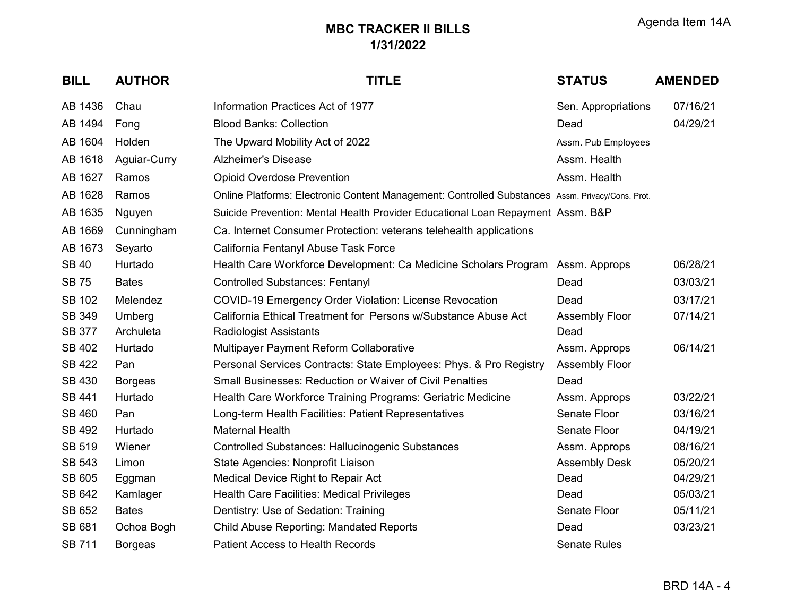| <b>BILL</b>   | <b>AUTHOR</b>  | <b>TITLE</b>                                                                                     | <b>STATUS</b>         | <b>AMENDED</b> |
|---------------|----------------|--------------------------------------------------------------------------------------------------|-----------------------|----------------|
| AB 1436       | Chau           | Information Practices Act of 1977                                                                | Sen. Appropriations   | 07/16/21       |
| AB 1494       | Fong           | <b>Blood Banks: Collection</b>                                                                   | Dead                  | 04/29/21       |
| AB 1604       | Holden         | The Upward Mobility Act of 2022                                                                  | Assm. Pub Employees   |                |
| AB 1618       | Aguiar-Curry   | <b>Alzheimer's Disease</b>                                                                       | Assm. Health          |                |
| AB 1627       | Ramos          | <b>Opioid Overdose Prevention</b>                                                                | Assm. Health          |                |
| AB 1628       | Ramos          | Online Platforms: Electronic Content Management: Controlled Substances Assm. Privacy/Cons. Prot. |                       |                |
| AB 1635       | Nguyen         | Suicide Prevention: Mental Health Provider Educational Loan Repayment Assm. B&P                  |                       |                |
| AB 1669       | Cunningham     | Ca. Internet Consumer Protection: veterans telehealth applications                               |                       |                |
| AB 1673       | Seyarto        | California Fentanyl Abuse Task Force                                                             |                       |                |
| <b>SB 40</b>  | Hurtado        | Health Care Workforce Development: Ca Medicine Scholars Program Assm. Approps                    |                       | 06/28/21       |
| <b>SB75</b>   | <b>Bates</b>   | <b>Controlled Substances: Fentanyl</b>                                                           | Dead                  | 03/03/21       |
| <b>SB 102</b> | Melendez       | COVID-19 Emergency Order Violation: License Revocation                                           | Dead                  | 03/17/21       |
| <b>SB 349</b> | Umberg         | California Ethical Treatment for Persons w/Substance Abuse Act                                   | <b>Assembly Floor</b> | 07/14/21       |
| <b>SB 377</b> | Archuleta      | <b>Radiologist Assistants</b>                                                                    | Dead                  |                |
| <b>SB 402</b> | Hurtado        | Multipayer Payment Reform Collaborative                                                          | Assm. Approps         | 06/14/21       |
| <b>SB 422</b> | Pan            | Personal Services Contracts: State Employees: Phys. & Pro Registry                               | <b>Assembly Floor</b> |                |
| <b>SB 430</b> | <b>Borgeas</b> | <b>Small Businesses: Reduction or Waiver of Civil Penalties</b>                                  | Dead                  |                |
| <b>SB 441</b> | Hurtado        | Health Care Workforce Training Programs: Geriatric Medicine                                      | Assm. Approps         | 03/22/21       |
| <b>SB 460</b> | Pan            | Long-term Health Facilities: Patient Representatives                                             | Senate Floor          | 03/16/21       |
| <b>SB 492</b> | Hurtado        | <b>Maternal Health</b>                                                                           | Senate Floor          | 04/19/21       |
| <b>SB 519</b> | Wiener         | Controlled Substances: Hallucinogenic Substances                                                 | Assm. Approps         | 08/16/21       |
| <b>SB 543</b> | Limon          | State Agencies: Nonprofit Liaison                                                                | <b>Assembly Desk</b>  | 05/20/21       |
| <b>SB 605</b> | Eggman         | Medical Device Right to Repair Act                                                               | Dead                  | 04/29/21       |
| SB 642        | Kamlager       | <b>Health Care Facilities: Medical Privileges</b>                                                | Dead                  | 05/03/21       |
| SB 652        | <b>Bates</b>   | Dentistry: Use of Sedation: Training                                                             | Senate Floor          | 05/11/21       |
| SB 681        | Ochoa Bogh     | <b>Child Abuse Reporting: Mandated Reports</b>                                                   | Dead                  | 03/23/21       |
| <b>SB 711</b> | <b>Borgeas</b> | <b>Patient Access to Health Records</b>                                                          | <b>Senate Rules</b>   |                |